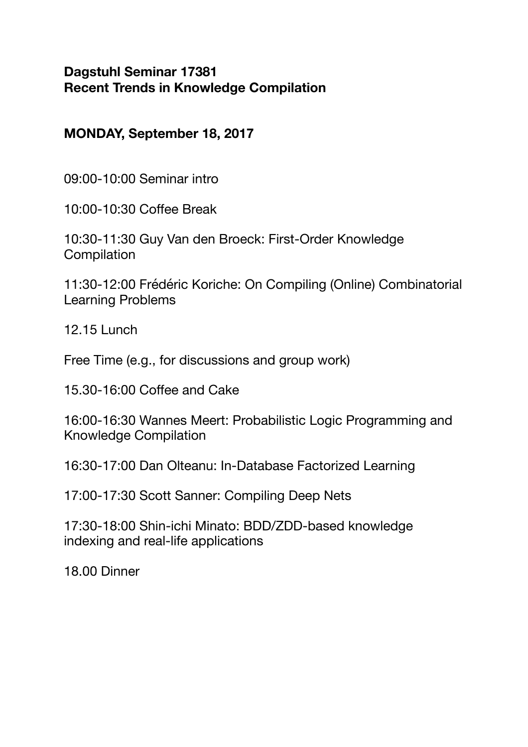# **MONDAY, September 18, 2017**

09:00-10:00 Seminar intro

10:00-10:30 Coffee Break

10:30-11:30 Guy Van den Broeck: First-Order Knowledge **Compilation** 

11:30-12:00 Frédéric Koriche: On Compiling (Online) Combinatorial Learning Problems

12.15 Lunch

Free Time (e.g., for discussions and group work)

15.30-16:00 Coffee and Cake

16:00-16:30 Wannes Meert: Probabilistic Logic Programming and Knowledge Compilation

16:30-17:00 Dan Olteanu: In-Database Factorized Learning

17:00-17:30 Scott Sanner: Compiling Deep Nets

17:30-18:00 Shin-ichi Minato: BDD/ZDD-based knowledge indexing and real-life applications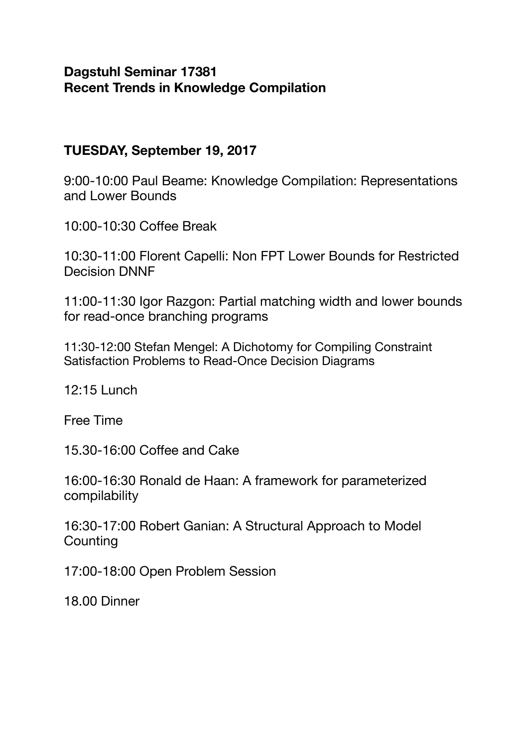# **TUESDAY, September 19, 2017**

9:00-10:00 Paul Beame: Knowledge Compilation: Representations and Lower Bounds

10:00-10:30 Coffee Break

10:30-11:00 Florent Capelli: Non FPT Lower Bounds for Restricted Decision DNNF

11:00-11:30 Igor Razgon: Partial matching width and lower bounds for read-once branching programs

11:30-12:00 Stefan Mengel: A Dichotomy for Compiling Constraint Satisfaction Problems to Read-Once Decision Diagrams

12:15 Lunch

Free Time

15.30-16:00 Coffee and Cake

16:00-16:30 Ronald de Haan: A framework for parameterized compilability

16:30-17:00 Robert Ganian: A Structural Approach to Model **Counting** 

17:00-18:00 Open Problem Session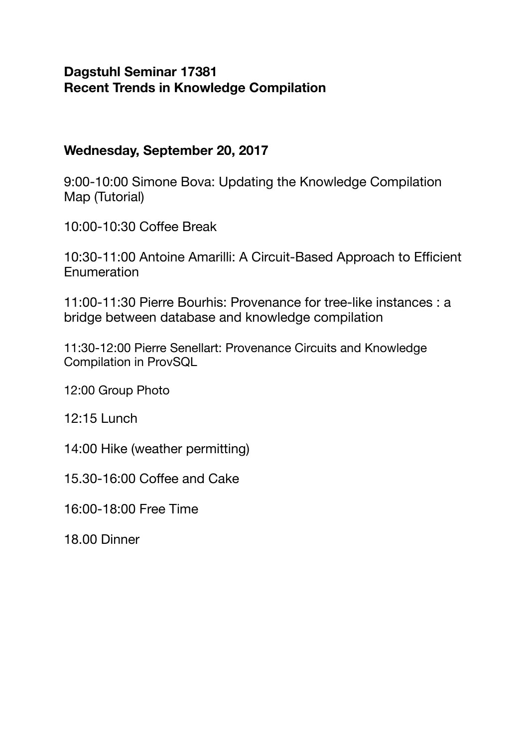#### **Wednesday, September 20, 2017**

9:00-10:00 Simone Bova: Updating the Knowledge Compilation Map (Tutorial)

10:00-10:30 Coffee Break

10:30-11:00 Antoine Amarilli: A Circuit-Based Approach to Efficient **Enumeration** 

11:00-11:30 Pierre Bourhis: Provenance for tree-like instances : a bridge between database and knowledge compilation

11:30-12:00 Pierre Senellart: Provenance Circuits and Knowledge Compilation in ProvSQL

12:00 Group Photo

12:15 Lunch

14:00 Hike (weather permitting)

15.30-16:00 Coffee and Cake

16:00-18:00 Free Time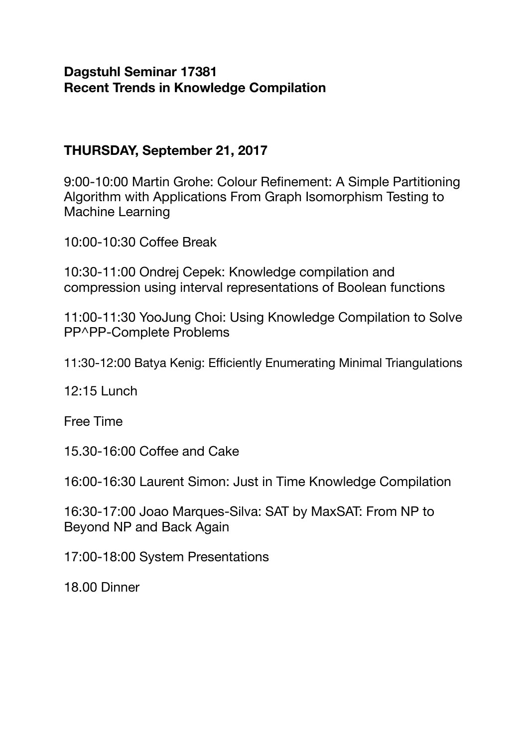# **THURSDAY, September 21, 2017**

9:00-10:00 Martin Grohe: Colour Refinement: A Simple Partitioning Algorithm with Applications From Graph Isomorphism Testing to Machine Learning

10:00-10:30 Coffee Break

10:30-11:00 Ondrej Cepek: Knowledge compilation and compression using interval representations of Boolean functions

11:00-11:30 YooJung Choi: Using Knowledge Compilation to Solve PP^PP-Complete Problems

11:30-12:00 Batya Kenig: Efficiently Enumerating Minimal Triangulations

12:15 Lunch

Free Time

15.30-16:00 Coffee and Cake

16:00-16:30 Laurent Simon: Just in Time Knowledge Compilation

16:30-17:00 Joao Marques-Silva: SAT by MaxSAT: From NP to Beyond NP and Back Again

17:00-18:00 System Presentations